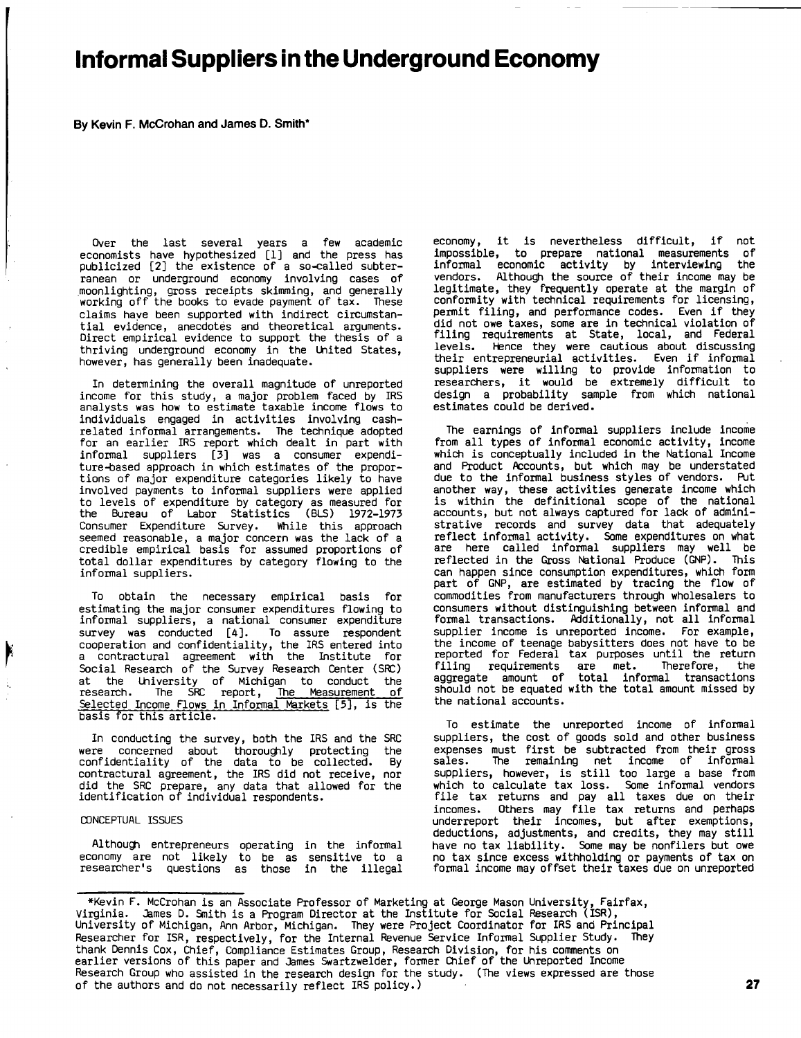# Informal Suppliers in the Underground Economy

**By** Kevin F. McCrohan and James **D.** Smith\*

Over the last several years a few academic economists have hypothesized **[1]** and the press has publicized [21 the existence of <sup>a</sup> so-called subterranean or underground economy involving cases of .Moonlighting, gross receipts skimming, and generally working off the books to evade payment of tax. These claims have been supported with indirect circumstantial evidence, anecdotes and theoretical arguments Direct empirical evidence to support the thesis of thriving underground economy in the United States, however, has generally been inadequate.

In determining the overall magnitude of unreported income for this study, <sup>a</sup> major problem faced **by** IRS analysts was how to estimate taxable income flows to individuals engaged in activities involving cashrelated informal arrangements. The technique adopted for an earlier IRS report which dealt in part with informal suppliers **[31** was <sup>a</sup> consumer expenditure-based approach in which estimates of the proportions of major expenditure categories likely to have involved payments to informal suppliers were applied to levels of expenditure **by** category as measured for the Bureau of Labor Statistics (BLS) **1972-1973** Consumer Expenditure Survey. While this approach seemed reasonable, <sup>a</sup> major concern was the lack of <sup>a</sup> credible empirical basis for assumed proportions of total dollar expenditures **by** category flowing to the informal suppliers.

To obtain the necessary empirical basis for estimating the major consumer expenditures flowing to informal suppliers, a national consumer expenditure survey was conducted [4]. To assure respondent cooperation and confidentiality, the IRS entered into a contractural agreement with the Institute for Social Research of the Survey Research Center (SRC) at the University of Michigan to conduct the research. The **SRC** report, The Measurement of Selected Income Flows in Informal Markets **[5],** is the basis for this article.

In conducting the survey, both the IRS and the SRC were concerned about thoroughly protecting the confidentiality of the data to be collected. **By** contractural agreement, the IRS did not receive, nor did the SRC prepare, any data that allowed for the identification of individual respondents.

#### **CONCEPTUAL ISSUES**

Although entrepreneurs operating in the informal economy are not likely to be as sensitive to <sup>a</sup> researcher's questions as those in the illegal

economy, it is nevertheless difficult, if not impossible, to prepare national measurements of informal economic activity **by** interviewing the vendors. Although the source of their income may be legitimate, they frequently operate at the margin of conformity with technical requirements for licensing, permit filing, and performance codes. Even if they permit filing, and performance codes. Even if they<br>did not owe taxes, some are in technical violation of filing requirements at State, local, and Federal levels. Hence they were cautious about discussing<br>their entrepreneurial activities. Even if informal suppliers were willing to provide information to researchers, it would be extremely difficult to design <sup>a</sup> probability sample from which national estimates could be derived.

The earnings of informal suppliers include income from all types of informal economic activity, income which is conceptually included in the National Income and Product Accounts, but which may be understated due to the informal business styles of vendors. Put another way, these activities generate income which is within the definitional scope of the national accounts, but not always captured for lack of administrative records and survey data that adequately reflect informal activity. Some expenditures on what are here called informal suppliers may well be reflected in the Gross National Produce **(GNP).** This can happen since consumption expenditures, which form part of **GNP,** are estimated **by** tracing the flow of commodities from manufacturers through wholesalers to consumers without distinguishing between informal and formal transactions. Additionally, not all informal supplier income is unreported income. For example, the income of teenage babysitters does not have to be reported for Federal tax purposes until the return filing requirements are met. Therefore, the aggregate amount of total informal transactions should not be equated with the total amount missed **by** the national accounts.

To estimate the unreported income of informal suppliers, the cost of goods sold and other business expenses must first be subtracted from their gross<br>sales. The remaining net income of informal The remaining net income of informal suppliers, however, is still too large <sup>a</sup> base from which to calculate tax loss. Some informal vendors file tax returns and pay all taxes due on their incomes. Others may file tax returns and perhaps underreport their incomes, but after exemptions, deductions, adjustments, and credits, they may still have no tax liability. Some may be nonfilers but owe no tax since excess withholding or payments of tax on formal income may offset their taxes due on unreported

<sup>\*</sup>Kevin F. McCrohan is an Associate Professor of Marketing at George Mason University, Fairfax, Virginia. James **D.** Smith is a Program Director at the Institute for Social Research (ISR), University of Michigan, Ann Arbor, Michigan. They were Project Coordinator for IRS and Principal Researcher for ISR, respectively, for the Internal Revenue Service Informal Supplier Study. They thank Dennis Cox, Chief, Compliance Estimates Group, Research Division, for his comments on earlier versions of this paper and James Swartzwelder, former Chief of the Unreported Income Research Group who assisted in the research design for the study. (The views expressed are those of the authors and do not necessarily reflect IRS policy.) **27**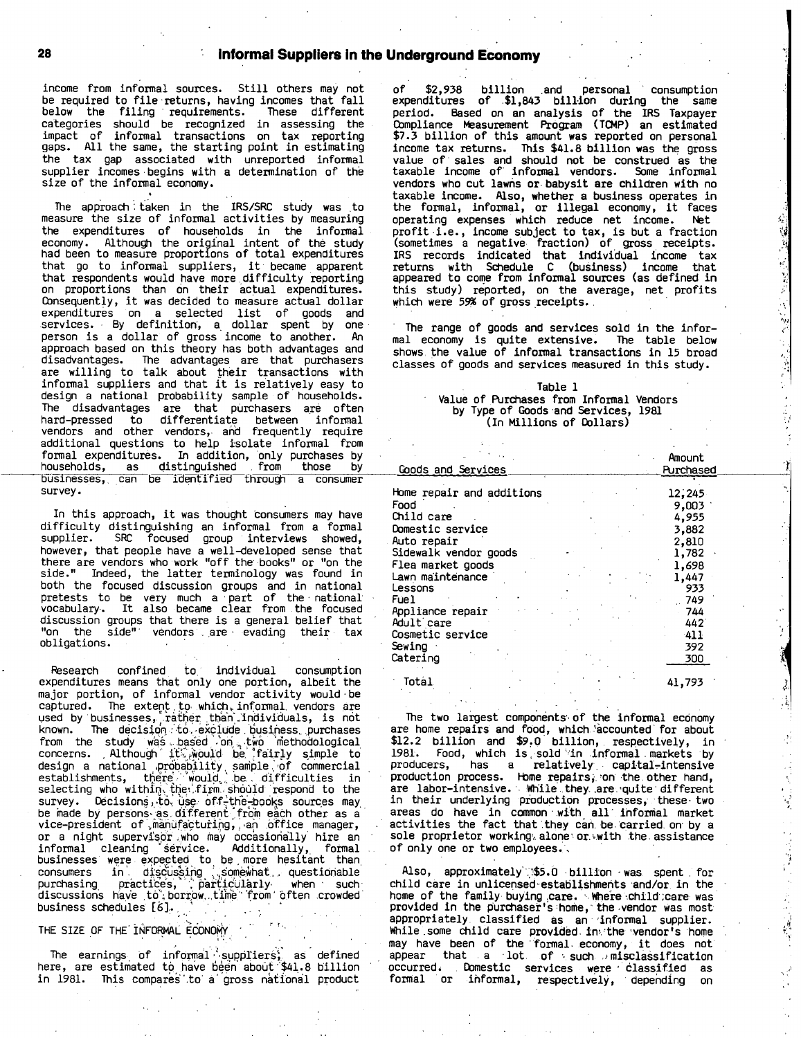### 28 **Informal Suppliers in the Underground Economy**

income from informal sources. Still others may not be required to file-returns, having incomes that fall below the filing requirements. These different categories should be recognized in assessing the impact of informal transactions on tax reporting gaps. **All** the same, the starting point in estimating the tax gap associated with unreported informal supplier incomes begins with a determination of the size of the informal economy.

The approach taken in the IRS/SRC study was to measure the size of informal activities **by** measuring the expenditures of households in the informal economy. Although the original intent of the study had been to measure proportions of total expenditures that go to informal suppliers, it became apparent that respondents would have more-difficulty reporting on proportions than on their ac tual expenditures. on proportions than on their actual expenditures.<br>Consequently, it was decided to measure actual dollar expenditures on a selected list of goods and<br>services. By definition, a dollar spent by one person is <sup>a</sup> dollar of gross income to another. An approach based on this theory has both advantages and disadvantages. The advantages are that purchasers are willing to talk about their transactions with informal suppliers and that it is relatively easy to design <sup>a</sup> national probability sample of households. The disadvantages are that purchasers are often **\*** hard-pressed to differentiate between informal vendors and other vendors, and frequently require additional questions to help isolate informal from formal expenditures. In addition, only purchases **by** households, as distinguished **.** from those **by** businesses, can be identified through a consumer survey.

In this approach, it was thought consumers may have difficulty distinguishing an informal from a formal supplier. SRC focused group interviews showed, however, that people have a well-developed sense that there are vendors who work "off the books" or "on the side." Indeed, the latter terminology was found in both the focused discussion groups and in national pretests to be very much a **-** part of the **-** national vocabulary. It also became clear from **-** the focused discussion groups that there is a general belief that "on the side" vendors are evading their tax obligations.

Research confined to. individual consumption expenditures means that only one portion, albeit the major portion, of informal vendor activity would be captured. The extent **.** to, which, informal, vendors are used by businesses, rather than individuals, is not known. The decision. $\mathbf{t}$ o, exclude business purchases from the study w'a~ **.** bag6d '.'on., two methodological concerns. **,** Although if7..'ei~ould **'b6.'** 'fairly simple to design a national pr $\phi$ ba $\phi$ ility sample of commercial establishments, there would be difficulties in<br>selecting who within, the firm should respond to the  $s$ urvey. Decisions, to, use off-the-books sources may be made by persons as different from each other as a vice-president of manufacturing, an office manager, or a night supervisor who may occasionally hire an informal cleaning '§6ivice. Additionally,. formal businesses were expected to be more hesitant than. consumer **<sup>s</sup>** in dfs~**-6s~sing** ..,som!E~wha t **\_** questionable  $\textsf{purchasing}$   $\textsf{practices,}$   $\textsf{parfigcularly}$  when  $\textsf{such}$ discussions have to borrow time from often crowded  $\,$ business schedules **[81,.**

THE SIZE OF THE INFORMAL ECONOMY

The earnings of informal<br>re, are estimated to have be s **'** upoliers". as defined here, are estimated to have been about \$41.8 billion in 1981. This compares to a gross national product **of \$2,938** billion and personal **'** consumption expenditures of .\$1,843 bill-ion during the same period. Based on an analysis of the IRS Taxpayer Compliance Measurement Program (TCMP) an estimated **\$7.3** billion of this amount was reported on personal income tax returns. This \$41.8 billion was the gross value of sales and should not be construed as the taxable income of' informal vendors. Some informal vendors who cut lawns or.babysit are children with no taxable income. Also, whether <sup>a</sup> business operates in the formal, informal, or illegal economy, it faces operating expenses which reduce net income. Net profit,i.e., income subject to tax, is but <sup>a</sup> fraction (sometimes <sup>a</sup> negative fraction) of gross receipts. IRS records indicated that individual income tax returns with Schedule **<sup>C</sup>** (business) income that appeared to come from informal sources (as defined in this study) reported, on the average, net profits which were 59% of gross receipts.

**.** The range of goods and services sold in the informal economy is quite extensive. The table below shows the value of informal transactions in **<sup>15</sup>** broad classes of goods and services measured in this study.

Ï

 $\frac{1}{2}$ 

医心包 医心包

2000年4月

### Table **I** Value of Purchases from Informal Vendors **by** Type of Goods,and Services, **1981** (In millions of Dollars)

|                           | Amount    |
|---------------------------|-----------|
| Goods and Services        | Purchased |
|                           |           |
| Home repair and additions | 12,245    |
| Food                      | 9,003     |
| Child care                | 4,955     |
| Domestic service          | 3,882     |
| Auto repair               | 2,810     |
| Sidewalk vendor goods     | 1,782     |
| Flea market goods         | 1,698     |
| Lawn maintenance          | 1,447     |
| Lessons                   | 933       |
| Fuel                      | 749.      |
| Appliance repair          | 744       |
| Adult care                | 442       |
| Cosmetic service          | 411       |
| Sewing :                  | 392       |
| Catering                  | 300       |
| Total                     | 41,793    |

The two largest components of the informal economy are home repairs and food, which. `kcounted for about \$12.2 billion and **\$9.0'** billion,, respectively, in 1981. Food, which is sold in informal markets by producers, has a relatively capital-intensive production process. Home repairs, on the other hand, are labor-intensive. While they are quite different in their underlying piodu ction processes, these. two areas do have in common with all informal market activities the fact that they can. be. carried. on- **by** <sup>a</sup> sole proprietor working, alone or. with the assistance of only one or two employees.,

Also, approximately \$5.0 billion was spent for child care in unlicensed establishments and/or in the home of the family buying care. Where child;care was<br>provided in the purchaser's home, the vendor was most appropriately. classified as an informal supplier. While some child care provided in the vendor's home mhile some child care provided in the vendor's home<br>may have been of the formal economy, it does not appear that **-** <sup>a</sup> **-** lot. of **-,** such **)** misclassification occurredi **,** Domestic services were classified as formal or ihformal, respectively, depending on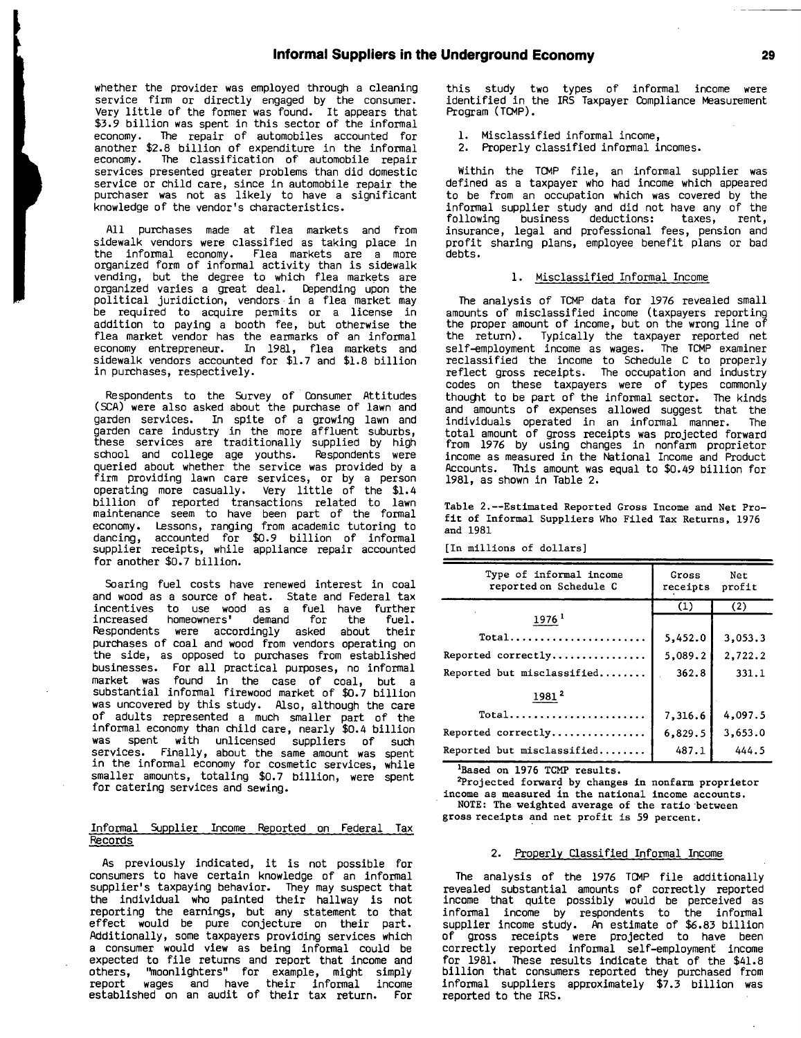whether the provider was employed through a cleaning service firm or directly engaged **by** the consumer. Very little of the former was found. It appears that **\$3.9** billion was spent in this sector of the informal The repair of automobiles accounted for another **\$2.8** billion of expenditure in the informal The classification of automobile repair services presented greater problems than did domestic service or child care, since in automobile repair the purchaser was not as likely to have a significant knowledge of the vendor's characteristics.

**All** purchases made at flea markets and from sidewalk vendors were classified as taking place in the informal economy. Flea markets are a more organized form of informal activity than is sidewalk vending, but the degree to which flea markets are organized varies a great deal. Depending upon the political juridiction, vendors in a flea market may be required to acquire permits or <sup>a</sup> license in addition to paying <sup>a</sup> booth fee, but otherwise the flea market vendor has the earmarks of an informal economy entrepreneur. In **1981,** flea markets and sidewalk vendors accounted for **\$1.7** and **\$1.8** billion in purchases, respectively.

Respondents to the Survey of Consumer Attitudes **(SCA)** were also asked about the purchase of lawn and garden services. In spite of <sup>a</sup> growing lawn and garden care industry in the more affluent suburbs, these services are traditionally supplied **by** high school and college age youths. Respondents were queried about whether the service was provided **by** a firm providing lawn care services, or **by** <sup>a</sup> person operating more casually. Very little of the \$1.4 billion of reported transactions related to lawn maintenance seem to have been part of the formal economy. Lessons, ranging from academic tutoring to dancing, accounted for **\$0.9** billion of informal supplier receipts, while appliance repair accounted for another **\$0.7** billion.

Soaring fuel costs have renewed interest in coal and wood as <sup>a</sup> source of heat. State and Federal tax incentives to use wood as a fuel have further<br>increased homeowners' demand for the fuel. increased homeowners' demand for the fuel. Respondents were accordingly asked about purchases of coal and wood from vendors operating on the side, as opposed to purchases from established businesses. For all practical purposes, no informal market was found in the case of coal, but <sup>a</sup> substantial informal firewood market of **\$0.7** billion was uncovered **by** this study. Also, although the care of adults represented a much smaller part of the informal economy than child care, nearly \$0.4 billion was spent with unlicensed suppliers of such services. Finally, about the same amount was spent in the informal economy for cosmetic services, while smaller amounts, totaling **\$0.7** billion, were spent for catering services and sewing.

### Informal Supplier Income Reported on Federal Tax Records

As previously indicated, it is not possible for consumers to have certain knowledge of an informal supplier's taxpaying behavior. They may suspect that the individual who painted their hallway is not reporting the earnings, but any statement to that effect would be pure conjecture on their part. Additionally, some taxpayers providing services which a consumer would view as being informal could be expected to file returns and report that income and others, "moonlighters" for example, might simply report wages and have their informal income established on an audit of their tax return. For

this study two types of informal income were identified in the IRS Taxpayer Compliance Measurement Program (TCMP).

- **1.** Misclassified informal income,
- 2. Properly classified informal incomes.

Within the TCMP file, an informal supplier was defined as <sup>a</sup> taxpayer who had income which appeared to be from an occupation which was covered **by** the informal supplier study and did not have any of the following business deductions: taxes, insurance, legal and professional fees, pension and profit sharing plans, employee benefit plans or bad debts.

### **1.** Misclassified Informal Income

The analysis of TCMP data for **<sup>1976</sup>** revealed small amounts of misclassified income (taxpayers reporting the proper amount of income, but on the wrong line of the return). Typically the taxpayer reported net self-employment income as wages. The TCMP examiner reclassified the income to Schedule **<sup>C</sup>** to properly reflect gross receipts. The occupation and industry codes on these taxpayers were of types commonly thought to be part of the informal sector. The kinds and amounts of expenses allowed suggest that the individuals operated in an informal manner. The total amount of gross receipts was projected forward from **1976 by** using changes in nonfarm proprietor income as measured in the National Income and Product Accounts. This amount was equal to \$0.49 billion for **1981,** as shown in Table 2.

Table 2.--Estimated Reported Gross Income and Net Profit of Informal Suppliers Who Filed Tax Returns, **1976** and **1981**

[In millions of dollars]

| Type of informal income<br>reported on Schedule C | Gross<br>receipts | Net<br>profit |
|---------------------------------------------------|-------------------|---------------|
|                                                   | (1)               | (2)           |
| 1976 <sup>1</sup>                                 |                   |               |
| $Total$                                           | 5,452.0           | 3,053.3       |
| Reported correctly                                | 5,089.2           | 2,722.2       |
| Reported but misclassified                        | 362.8             | 331.1         |
| 1981 <sup>2</sup>                                 |                   |               |
| Total                                             | 7,316.6           | 4,097.5       |
| Reported correctly                                | 6,829.5           | 3,653.0       |
| Reported but misclassified                        | 487.1             | 444.5         |

'Based on **1976** TCMP results.

2Projected forward **by** changes in nonfarm proprietor income as measured in the national income accounts.

**NOTE:** The weighted average of the ratio-between gross receipts and net profit is **59** percent.

### 2. Properly\_Classified Informal Income

The analysis of the **<sup>1976</sup>** TCMP file additionally revealed substantial amounts of correctly reported income that quite possibly would be perceived as informal income **by** respondents to the informal supplier income study. An estimate of **\$6.83** billion of gross receipts were projected to have been correctly reported informal self-employment income for **1981.** These results indicate that of the \$41.8 billion that consumers reported they purchased from informal suppliers approximately **\$7.3** billion was reported to the IRS.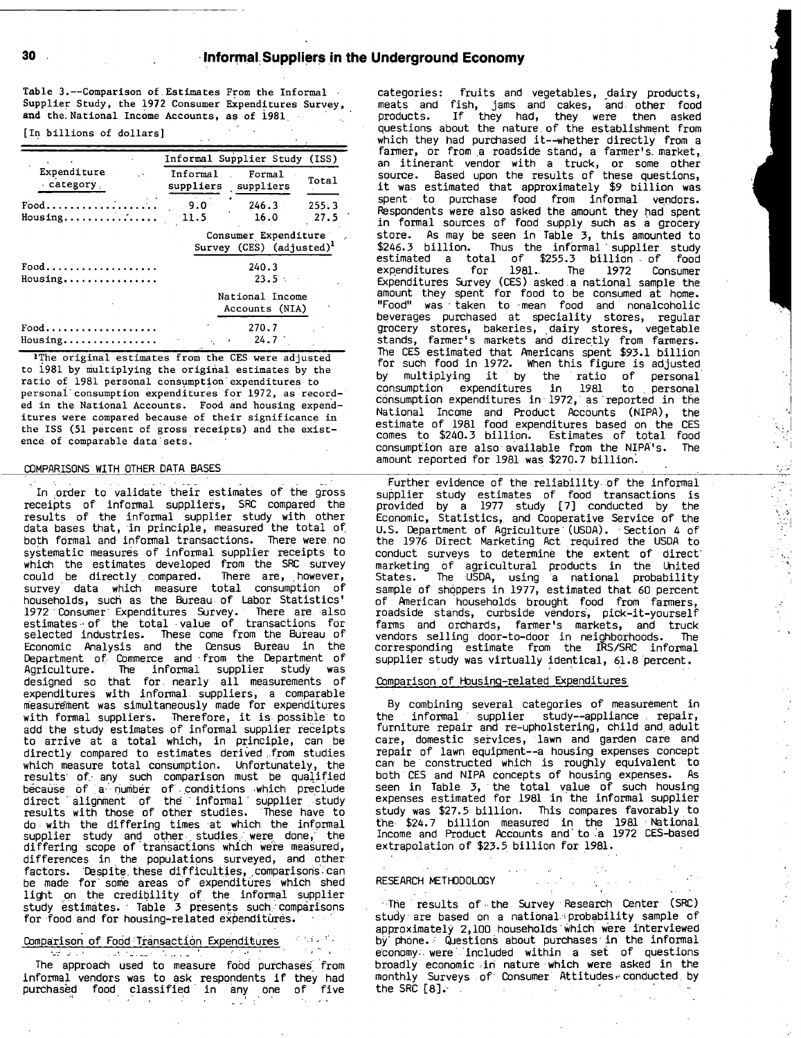Table 3.--Comparison of.Estimates From the Informal **-** Supplier Study, the **1972** Consumer Expenditures Survey, and the.National Income Accounts, as of **1981.**

[In billions of dollars]

|                                                                                    |             | Informal Supplier Study (ISS)                       |               |
|------------------------------------------------------------------------------------|-------------|-----------------------------------------------------|---------------|
| <b>Expenditure</b><br>$\ddot{\phantom{a}}$<br>$\cdot$ category $\cdot$             | Informal    | Formal<br>suppliers suppliers                       | Total         |
| $Food \ldots \ldots \ldots \ldots \ldots \ldots$<br>$Housing \ldots \ldots \ldots$ | 9.0<br>11.5 | 246.3<br>$16.0^{\circ}$                             | 255.3<br>27.5 |
|                                                                                    |             | Consumer Expenditure<br>Survey (CES) $(adjusted)^1$ |               |
| $Food.$<br>$Housing \ldots \ldots \ldots$                                          |             | 240.3<br>23.5                                       |               |
|                                                                                    |             | National Income<br>Accounts (NIA)                   |               |
| $Food$<br>Housing                                                                  |             | 270.7<br>24.7<br>$\epsilon$                         |               |

IThe original estimates from the **CES** were adjusted to i981 **by** multiplying the original estimates **by** the ratio of **1981** personal consumption'expenditures. to personai-consumption expenditures **.** for **1972,** as recorded in the National Accounts. Food and housing expenditures were compared because of their significance in the ISS **(51** percent of gross receipts) and the existence of comparable data'sets.

### COMPARISONS WITH OTHER **DATA BASES**

In order to validate their estimates of the gross receipts of informal suppliers, SRC compared the results of the informal supplier study with other<br>data bases that, in principle, measured the total of both formal and informal transactions. There were,no systematic measures of informal supplier receipts to which the estimates developed from the **SRC** survey could be directly compared. There are, however, survey data which measure total consumption of households, such as the Bureau of Labor Statistics' **1972** Consumer Expenditures Survey. There are.,also estimates **-** of the total **-** value of transactions for selected industries. These come from the Bureau of Economic Analysis and the Census Bureau in the Department of Commerce and -from the Department of Agriculture. The informal supplier study was designed so that for, nearly all measurements of expenditures with informal, suppliers a comparable **9** measurement was simultaneously made for expenditures with formal suppliers. Therefore, it is possible to add the study estimates of informal supplier receipts to arrive at a total which, in principle, can be directly compared to estimates derived **.f** rom studies **'** which measure total consumption. Unfortunately, the results of any such comparison must be qualified because **of** a.' number of'..conditions which pre **\*** clude direct **'** alignment of the **-** informal supplier **.** study results with those of other studies. These have to do with the differing times -at which the informal supplier study and other studies were done, the<br>differing scope of transactions which were measured, differences in the populations surveyed, and other **,** factors. Despite these difficulties, comparisons can **i** be made for' some areas **of** expenditures which shed light on the credibility **of** the informal supplier study estimates. Table 3 presents such comparisons for food and for housing-related expenditures.

## Comparison of Food Transaction Expenditures

de Principal

The approach used to measure fobd purchases' from informal vendors was to ask respondents if they had purchasbd food, classified in 'any one of five

أعاديك للأ

categories: fruits and vegetables, dairy products, meats and fish, jams and cakes, and. other food products. If they had, they were then asked questions about the nature. of the establishment from which they had purchased it--whether directly from <sup>a</sup> farmer, or from a roadside stand, a farmer's market, an itinerant vendor with <sup>a</sup> truck, or some other source. Based upon the results of these questions, it was estimated that approximately **\$9** billion was spent to purchase food from informal ve ndors. **'**Respondents were also asked the amount they had spent in formal sources of food supply such as <sup>a</sup> grocery store. As may be seen in Table **3,** this amounted to \$246.3 billion. Thus the informal supplier study estimated <sup>a</sup> total of **\$255.3** billion **.** of food expenditures for **1981-** The **1972** Consumer Expenditures Survey **(CES)** asked.a national sample the amount they spent for food to be consumed at home. "Food" was **-** taken to -mean food and nonalcoholic beverages purchased at speciality stores, regular grocery stores, bakeries, dairy stores, vegetable stands, farmer's markets and directly from farmers. The **CES** estimated that Americans spent **\$93.1** billion for such food in **1972.** When this figure is adjusted **by** multiplying it **\* by** the ratio of personal consumption expenditures in **1981** to **.** personal consumption expenditures in **- 1972, \*** as 'reported in the National Income and Product Accounts (NIPA), the estimate of **1981** food expenditures based on the **CES** comes to \$240.3 billion. Estimates of total food consumption are also available from the NIPA's. The amount reported for **<sup>1981</sup>** was **\$270.7** billion:

Further evidence of the -reliability. of the informal supplier study estimates of food transactions is provided **by** a **1977** study **[7]** conducted **by** the Economic, Statistics, and Cooperative Service of the **U.S.** Department of Agriculture **\* (USDA). -** Section 4 of the **1976** Direct Marketing Act required the **USDA** to conduct surveys to determine the extent of direct' marketing of agricultural products in the United States. The **USDA,** using a national probability sample of shoppers in 1977, estimated that 60 percent of American households brought food from farmers, roadside stands, curbside vendors~, pick-it-yourself farms and orchards, farmer's markets, and truck vendors selling door-to-door in neighborhoods. The corresponding estimate from the IRS/SRC informal supplier study was virtually identical, 61.8 percent.

 $\mathbb{Z}^2$  $\bar{z}$ 

 $\frac{1}{\sqrt{2}}$ 

### Comparison of Housing-related Expenditures

**By** combining several. categories of measurement in the informal supplier study--appliance **.** repair, furniture repair and re-upholstering, child and, adult care, domestic services, lawn and garden care and **\*** repair of lawn equipment--a housing expenses concept can, be constructed which is roughly equivalent to both **CES** and NIPA concepts of housing expenses. As seen in Table **3,** the total value of such housing expenses estimated for **1981** in the informal supplier study was **\$27.5** billion. This compares favorably to the. \$24.7 billion measured in the **<sup>1981</sup>** National Income and Product Accounts and' to .'a **1972** CES-based extrapolation of **\$23.5.** billion for **.1981.**

### RESEARCH METHDDOLOGY

经保留公司会 in Paul

-The results of **,** the Survey Research Center (SRC) study are based on a national probability sample of approximately 2,100 households'which were interviewed **by'** phone. **-** Questions about purchases- in the informal economy were included within a set of questions broadly economic in nature which were asked in the monthly Surveys of Consumer Attitudes,~ conducted. **by** the SRC **[81.-**

 $\sim 1000$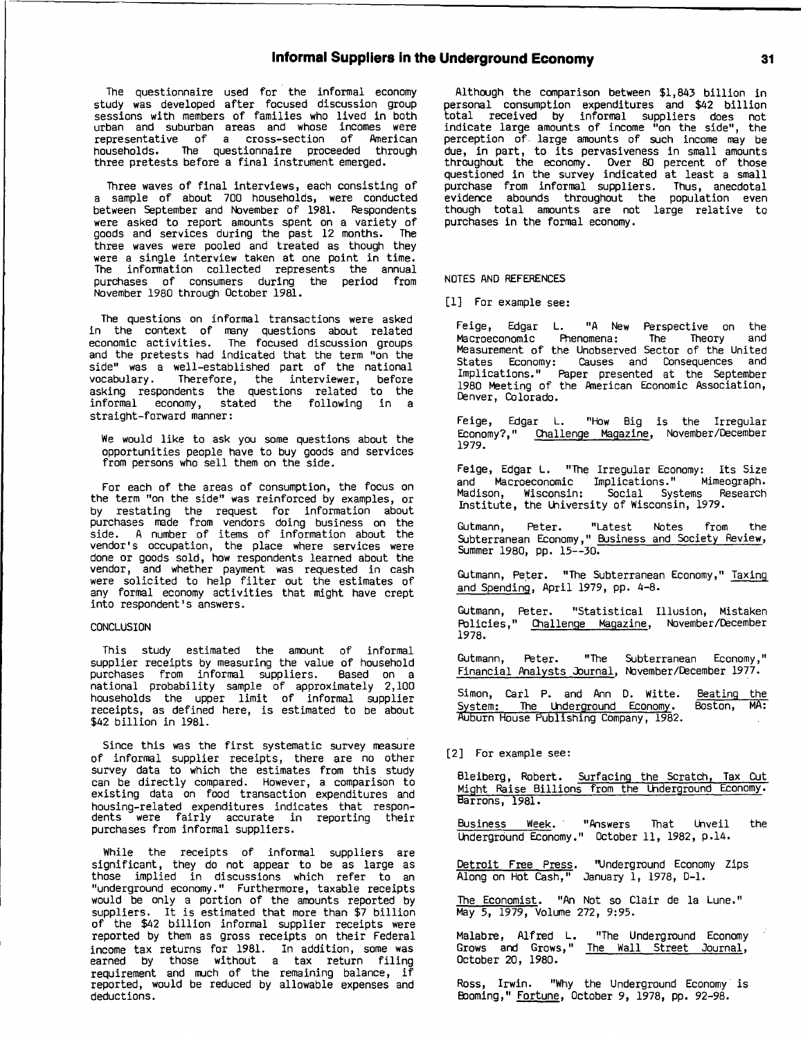### Informal Suppliers In the Underground Economy

The questionnaire used for the informal economy study was developed after focused discussion group sessions with members of families who lived in both urban and suburban areas and whose incomes were representative of a cross-section of American households. The questionnaire proceeded through three pretests before a final instrument emerged.

Three waves of final interviews, each consisting of <sup>a</sup> sample of about **700** households, were conducted between September and November of **1981.** Respondents were asked to report amounts spent on <sup>a</sup> variety of goods and services during the past 12 months. The three waves were pooled and treated as though they were a single interview taken at one point in time. The information collected represents the annual purchases of consumers during the period from November **1980** through October **1981.**

The questions on informal transactions were asked in the context of many questions about related economic activities. The focused discussion groups and the pretests had indicated that the term "on the side" was <sup>a</sup> well-established part of the national vocabulary. Therefore, the interviewer, before asking respondents the questions related to the informal economy, stated the following in <sup>a</sup> straight-forward manner:

We would like to ask you some questions about the opportunities people have to buy goods and services from persons who sell them on the side.

For each of the areas of consumption, the focus on the term "on the side" was reinforced **by** examples, or **by** restating the request for information about purchases made from vendors doing business on the side. **<sup>A</sup>** number of items of information about the vendor's occupation, the place where services were done or goods sold, how respondents learned about the vendor, and whether payment was requested in cash were solicited to help filter out the estimates of any formal economy activities that might have crept into respondent's answers.

### **CONCLUSION**

This study estimated the amount of informal supplier receipts **by** measuring the value of household purchases from informal suppliers. Based on <sup>a</sup> national probability sample of approximately 2,100 households the upper limit of informal supplier receipts, as defined here, is estimated to be about \$42 billion in **1981.**

Since this was the first systematic survey measure of informal supplier receipts, there are no other survey data to which the estimates from this study can be directly compared. However, <sup>a</sup> comparison to existing data on food transaction expenditures and housing-related expenditures indicates that respondents were fairly accurate in reporting their purchases from informal suppliers.

While the receipts of informal suppliers are significant, they do not appear to be as large as those implied in discussions which refer to an "underground economy." Furthermore, taxable receipts would be only <sup>a</sup> portion of the amounts reported **by** suppliers. It is estimated that more than **\$7** billion of the \$42 billion informal supplier receipts were reported **by** them as gross receipts on their Federal income tax returns for **1981.** In addition, some was earned **by** those without <sup>a</sup> tax return filing requirement and much of the remaining balance, if reported, would be reduced **by** allowable expenses and deductions.

Although the comparison between \$1,843 billion in personal consumption expenditures and \$42 billion total received **by** informal suppliers does not indicate large amounts of income "on the side", the perception of large amounts of such income may be due, in part, to its pervasiveness in small amounts throughout the economy. Over **80** percent of those questioned in the survey indicated at least <sup>a</sup> small purchase from informal suppliers. Thus, anecdotal evidence abounds throughout the population even though total amounts are not large relative to purchases in the formal economy.

### **NOTES AND** REFERENCES

**[11** For example see:

Feige, Edgar L. **"A** New Perspective on the Macroeconomic Phenomena: The Theory and Measurement of the Unobserved Sector of the United States Economy: Causes and Consequences and Implications." Paper presented at the September **1980** Meeting of the American Economic Association, Denver, Colorado.

Feige, Edgar L. "How Big is the Irregular Economy?," Challenge Magazine, November/December **1979.**

Feige, Edgar L. "The Irregular Economy: Its Size and Macroeconomic Implications." Mimeograph. Madison, Wisconsin: Social Systems Research Institute, the University of Wisconsin, **1979.**

Gutmann, Peter. "Latest Notes from the Subterranean Economy," Business and Society Review, Summer **1980, pp. 15--30.**

Gutmann, Peter. "The Subterranean Economy," Taxing and Spending, April **1979, pp.** 4-8.

Gutmann, Peter. "Statistical Illusion, Mistaken Policies," Challenge Magazine, November/December **1978.**

Gutmann, Peter. "The Subterranean Economy'll Financial Analysts Journal, November/December **1977.**

Simon, Carl P. and Ann **D.** Witte. Beating the ~SL u5uNn HouPe Publishing Company, **1982.** <u>: The Underground Economy</u>. Boston, MA:

[2] For example see:

Bleiberg, Robert. Surfacing the Scratch, Tax Cut Might Raise Billions from the Underground Economy. barrons, **1981.**

Business Week. "Answers That Unveil the Underground Economy." October **11, 1982,** p-14.

Detroit Free Press. "Underground Economy Zips Along on Hot Cash," January **1, 1978, D-1.**

The Economist. "An Not so Clair de la Lune." May **5, 1979,** Volume **272, 9:95.**

Malabre, Alfred L. "The Underground Economy Grows and Grows," The Wall Street Journal, October 20, **1980.**

Ross, Irwin. **"Why** the Underground Economy is Booming," Fortune, October **9, 1978, pp. 92-98.**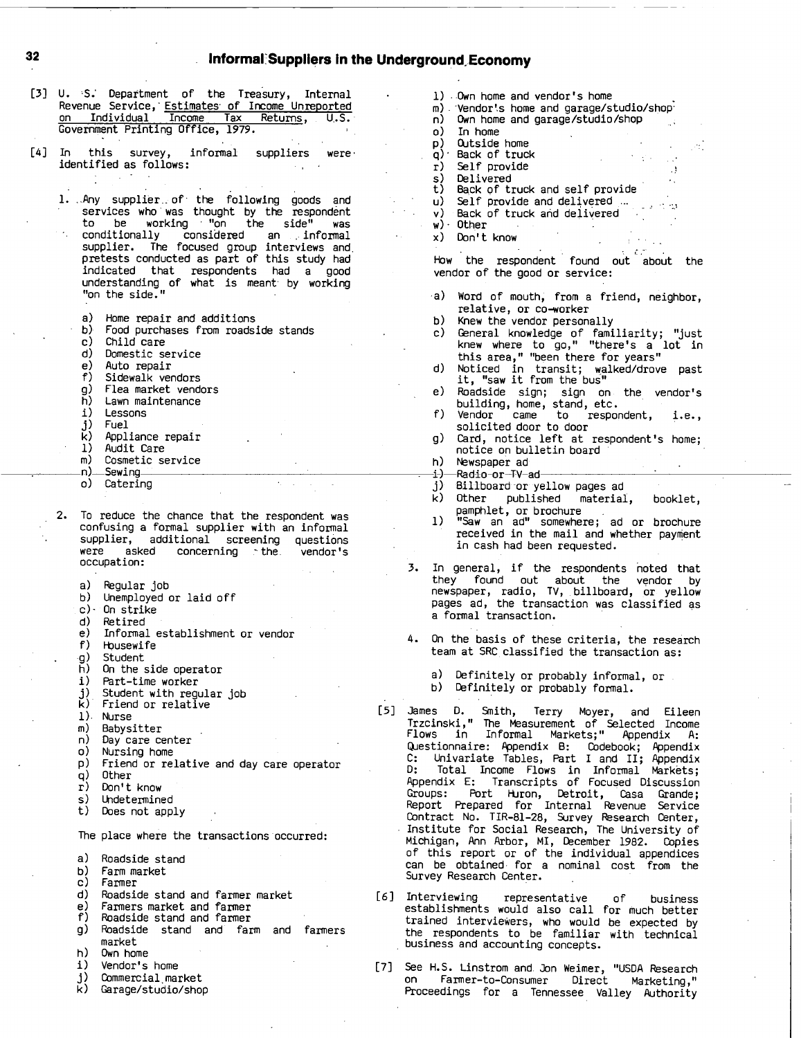# **32** Informal Suppliers in the Underground Economy

| [3] | U. S. Department of the Treasury, Internal<br>Revenue Service, Estimates of Income Unreported<br>Tax<br>Individual Income<br>Returns, U.S.<br>on<br>Government Printing Office, 1979.                                                                                                                                                                                                     |
|-----|-------------------------------------------------------------------------------------------------------------------------------------------------------------------------------------------------------------------------------------------------------------------------------------------------------------------------------------------------------------------------------------------|
| [4] | In this survey, informal suppliers were<br>identified as follows:                                                                                                                                                                                                                                                                                                                         |
|     | 1. Any supplier of the following goods and<br>services who was thought by the respondent<br>working "on the<br>be<br>side"<br>to.<br>was<br>conditionally considered an informal<br>supplier. The focused group interviews<br>and<br>pretests conducted as part of this study had<br>indicated that respondents had a good<br>understanding of what is meant by working<br>"on the side." |
|     | a).<br>Home repair and additions<br>b) -<br>Food purchases from roadside stands<br>c).<br>Child care<br>d) Domestic service<br>e) Auto repair<br>f)<br>Sidewalk vendors<br>g) -<br>Flea market vendors<br>h)<br>Lawn maintenance<br>i).<br>Lessons<br>j).<br>Fuel<br>k) Appliance repair<br>1)<br>Audit Care<br>m١<br>$\cap$ conctic comulco                                              |

- m) Cosmetic service<br>n) Sewing
- n)-Sewing
- o) Catering
- 2. To reduce the chance that the respondent was confusing a formal supplier with an informal supplier, additional screening questions were asked concerning **.-** the vendor's occupation:
	- a) Regular **job**
	- **b)** Unemployed or laid off
	- **6-** On strike
	-
	- **d)** Retired e) Informal establishment or vendor
	- **f)** Housewife
	- **g)** Student
	- h) On the side operator<br>i) Part-time worker
	-
	- i) Part-time worker<br>j) Student with regu<br>k) Friend or relativ **i)** Student with regular **job**
	- **0** Friend or relative
	- **1).** Nurse
	- m) Babysitter<br>n) Day care ce
	- n) Day care center<br>o) Nursing home
	- Nursing home
	- **p)** Friend or relative and day care operator
	-
	- **q)** Other r) Don't know
	-
	- s) Undetermined<br>t) Does not app Does not apply

The place where the transactions occurred:

- a) Roadside stand
- **b)** Farm market
- c) Farmer
- **d)** Roadside stand and farmer market
- e) Farmers market and farmer
- **f)** Roadside stand and farmer
- **g)** Roadside stand and farm and farmers market
- h) Own home
- 
- i) Vendor's home<br>j) Commercial mar **j)** Commercial market
- **k)** Garage/stuaio/shop
- **1)** ..Own home and vendor's home m) Vendor's home and garage/studio/shop<br>n) Own home and garage/studio/shop n) Own home and garage/studio/shop o) In home **p)** Outside home P. **q)-** Back of truck  $\mathcal{L}(\mathcal{F})$ r) Self provide  $\mathbf{A}$ s) Delivered ×. t) Back of truck and self provide<br>u) Self provide and delivered ...<br>v) Back of truck and delivered Self provide and delivered ... وماء Back of truck and delivered  $w)$  Other **Contractor**  $\sim 10^{-11}$
- x) Don't know

How the respondent found out about the vendor of the good or service:

- .a) Word of mouth from <sup>a</sup> friend, neighbor, **I** relative, or co-worker
- **b)** Knew the vendor personally<br>**c)** General knowledge of fami
- c) General knowledge of familiarity; "just knew where to go," "there's a lot in this area," "been there for years"
- **d)** Noticed in transit; Walked/drove past it, "saw it from the bus"
- e) Roadside sign; sign on the vendor's
- building, home, stand, etc. **f)** Vendor came to respondent, i.e., solicited door to door
- **g)** Card, notice left at respondent's home; notice on bulletin board
- h) Newspaper ad
- -i)-Radio-or-TV-ad
- **j)** Billboard or yellow pages ad<br>k) Other published material
- Other published material, booklet,
- pamphlet, or brochure **1)** "Saw an ad" somewhere; ad or brochure received in the mail and whether payment in cash had been requested.
- **3.** In general, if the respondents noted that they found out about the vendor **by** newspaper, radio, TV, billboard, or yellow pages ad, the transaction was classified as a formal transaction.
- 4. On the basis of these criteria, the research team at SRC classified the transaction as:
	- a) Definitely or probably informal, or
	- **b)** Definitely or probably formal.
- **[51** James **D.** Smith, Terry Moyer, and Eileen Trzcinski,11 The Measurement of Selected Income Flows in Informal Markets;" Appendix **A:** Questionnaire: Appendix B: Codebook; Appendix **C:** Univariate Tables, Part I and II; Appendix **D:** Total Income Flows in Informal Markets; Appendix **E:** Transcripts of Focused Discussion Groups: Port Huron, Detroit, Casa Grande; Report Prepared for Internal Revenue Service Contract No. TIR-81-28, Survey Research Center, Institute for Social Research, The University of Michigan, Ann Arbor, MI, December **1982.** Copies of this report or of the individual appendices can be obtained. for <sup>a</sup> nominal cost from the Survey Research Center.
- **[61** Interviewing representative **of** business establishments would also call for much better trained interviewers, who would be expected **by** the respondents to be familiar with technical business and accounting concepts.
- **[71** See **H.S.** Linstrom and. Jon Weimer, **"USDA** Research on Farmer-to-Consumer Direct Marketing," Proceedings for a Tennessee Valley Authority